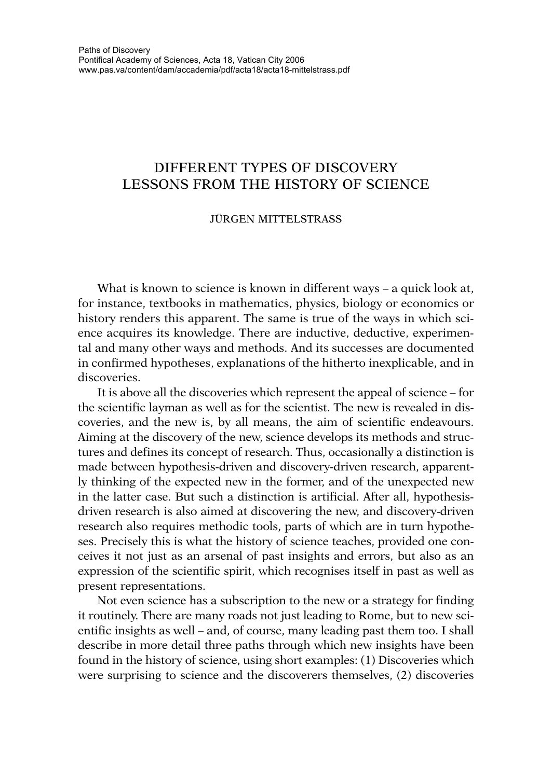## DIFFERENT TYPES OF DISCOVERY LESSONS FROM THE HISTORY OF SCIENCE

## JÜRGEN MITTELSTRASS

What is known to science is known in different ways – a quick look at, for instance, textbooks in mathematics, physics, biology or economics or history renders this apparent. The same is true of the ways in which science acquires its knowledge. There are inductive, deductive, experimental and many other ways and methods. And its successes are documented in confirmed hypotheses, explanations of the hitherto inexplicable, and in discoveries.

It is above all the discoveries which represent the appeal of science – for the scientific layman as well as for the scientist. The new is revealed in discoveries, and the new is, by all means, the aim of scientific endeavours. Aiming at the discovery of the new, science develops its methods and structures and defines its concept of research. Thus, occasionally a distinction is made between hypothesis-driven and discovery-driven research, apparently thinking of the expected new in the former, and of the unexpected new in the latter case. But such a distinction is artificial. After all, hypothesisdriven research is also aimed at discovering the new, and discovery-driven research also requires methodic tools, parts of which are in turn hypotheses. Precisely this is what the history of science teaches, provided one conceives it not just as an arsenal of past insights and errors, but also as an expression of the scientific spirit, which recognises itself in past as well as present representations.

Not even science has a subscription to the new or a strategy for finding it routinely. There are many roads not just leading to Rome, but to new scientific insights as well – and, of course, many leading past them too. I shall describe in more detail three paths through which new insights have been found in the history of science, using short examples: (1) Discoveries which were surprising to science and the discoverers themselves, (2) discoveries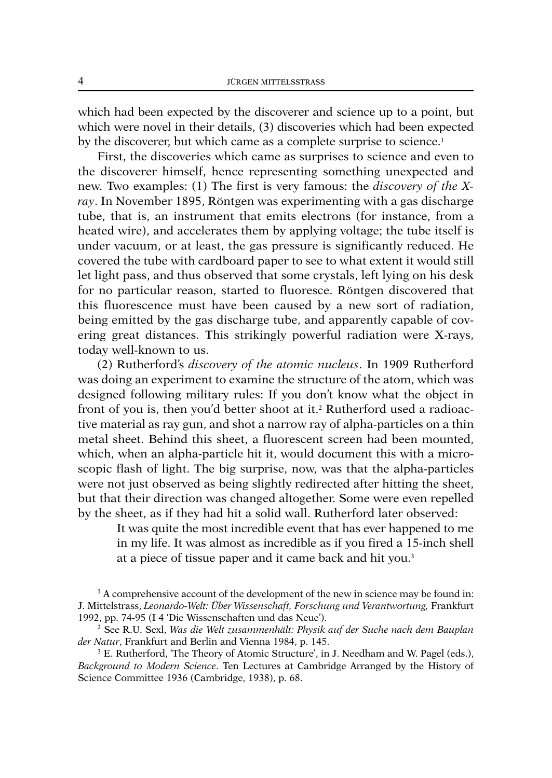which had been expected by the discoverer and science up to a point, but which were novel in their details, (3) discoveries which had been expected by the discoverer, but which came as a complete surprise to science. 1

First, the discoveries which came as surprises to science and even to the discoverer himself, hence representing something unexpected and new. Two examples: (1) The first is very famous: the *discovery of the Xray*. In November 1895, Röntgen was experimenting with a gas discharge tube, that is, an instrument that emits electrons (for instance, from a heated wire), and accelerates them by applying voltage; the tube itself is under vacuum, or at least, the gas pressure is significantly reduced. He covered the tube with cardboard paper to see to what extent it would still let light pass, and thus observed that some crystals, left lying on his desk for no particular reason, started to fluoresce. Röntgen discovered that this fluorescence must have been caused by a new sort of radiation, being emitted by the gas discharge tube, and apparently capable of covering great distances. This strikingly powerful radiation were X-rays, today well-known to us.

(2) Rutherford's *discovery of the atomic nucleus*. In 1909 Rutherford was doing an experiment to examine the structure of the atom, which was designed following military rules: If you don't know what the object in front of you is, then you'd better shoot at it. <sup>2</sup> Rutherford used a radioactive material as ray gun, and shot a narrow ray of alpha-particles on a thin metal sheet. Behind this sheet, a fluorescent screen had been mounted, which, when an alpha-particle hit it, would document this with a microscopic flash of light. The big surprise, now, was that the alpha-particles were not just observed as being slightly redirected after hitting the sheet, but that their direction was changed altogether. Some were even repelled by the sheet, as if they had hit a solid wall. Rutherford later observed:

It was quite the most incredible event that has ever happened to me in my life. It was almost as incredible as if you fired a 15-inch shell at a piece of tissue paper and it came back and hit you. 3

 $1 A$  comprehensive account of the development of the new in science may be found in: J. Mittelstrass, *Leonardo-Welt: Über Wissenschaft, Forschung und Verantwortung,* Frankfurt 1992, pp. 74-95 (I 4 'Die Wissenschaften und das Neue').

<sup>2</sup> See R.U. Sexl, *Was die Welt zusammenhält: Physik auf der Suche nach dem Bauplan der Natur*, Frankfurt and Berlin and Vienna 1984, p. 145.

<sup>3</sup> E. Rutherford, 'The Theory of Atomic Structure', in J. Needham and W. Pagel (eds.), *Background to Modern Science*. Ten Lectures at Cambridge Arranged by the History of Science Committee 1936 (Cambridge, 1938), p. 68.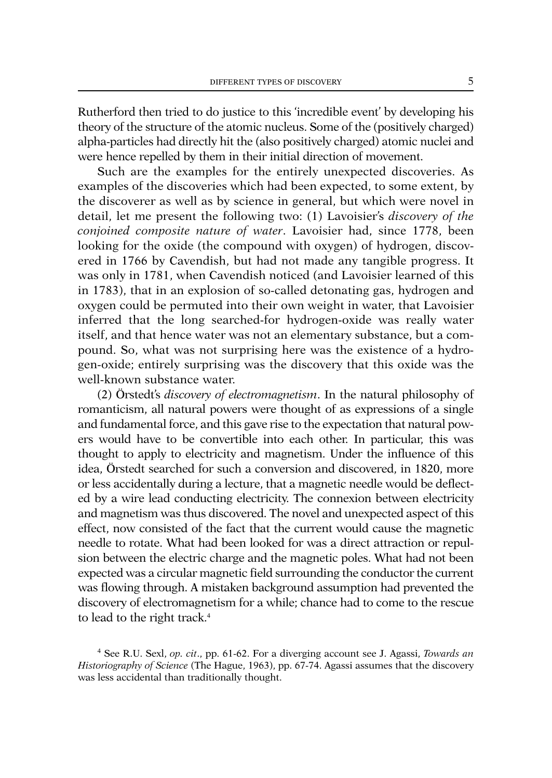Rutherford then tried to do justice to this 'incredible event' by developing his theory of the structure of the atomic nucleus. Some of the (positively charged) alpha-particles had directly hit the (also positively charged) atomic nuclei and were hence repelled by them in their initial direction of movement.

Such are the examples for the entirely unexpected discoveries. As examples of the discoveries which had been expected, to some extent, by the discoverer as well as by science in general, but which were novel in detail, let me present the following two: (1) Lavoisier's *discovery of the conjoined composite nature of water*. Lavoisier had, since 1778, been looking for the oxide (the compound with oxygen) of hydrogen, discovered in 1766 by Cavendish, but had not made any tangible progress. It was only in 1781, when Cavendish noticed (and Lavoisier learned of this in 1783), that in an explosion of so-called detonating gas, hydrogen and oxygen could be permuted into their own weight in water, that Lavoisier inferred that the long searched-for hydrogen-oxide was really water itself, and that hence water was not an elementary substance, but a compound. So, what was not surprising here was the existence of a hydrogen-oxide; entirely surprising was the discovery that this oxide was the well-known substance water.

(2) Örstedt's *discovery of electromagnetism*. In the natural philosophy of romanticism, all natural powers were thought of as expressions of a single and fundamental force, and this gave rise to the expectation that natural powers would have to be convertible into each other. In particular, this was thought to apply to electricity and magnetism. Under the influence of this idea, Örstedt searched for such a conversion and discovered, in 1820, more or less accidentally during a lecture, that a magnetic needle would be deflected by a wire lead conducting electricity. The connexion between electricity and magnetism was thus discovered. The novel and unexpected aspect of this effect, now consisted of the fact that the current would cause the magnetic needle to rotate. What had been looked for was a direct attraction or repulsion between the electric charge and the magnetic poles. What had not been expected was a circular magnetic field surrounding the conductor the current was flowing through. A mistaken background assumption had prevented the discovery of electromagnetism for a while; chance had to come to the rescue to lead to the right track. 4

<sup>4</sup> See R.U. Sexl, *op. cit*., pp. 61-62. For a diverging account see J. Agassi, *Towards an Historiography of Science* (The Hague, 1963), pp. 67-74. Agassi assumes that the discovery was less accidental than traditionally thought.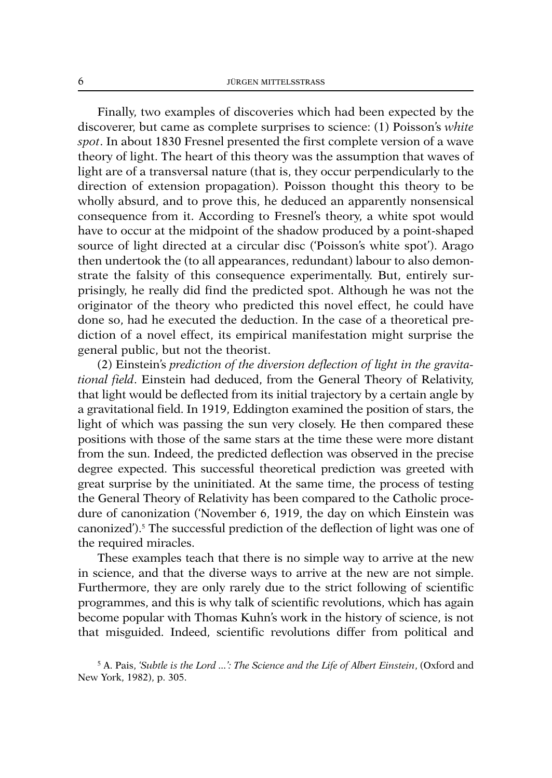Finally, two examples of discoveries which had been expected by the discoverer, but came as complete surprises to science: (1) Poisson's *white spot*. In about 1830 Fresnel presented the first complete version of a wave theory of light. The heart of this theory was the assumption that waves of light are of a transversal nature (that is, they occur perpendicularly to the direction of extension propagation). Poisson thought this theory to be wholly absurd, and to prove this, he deduced an apparently nonsensical consequence from it. According to Fresnel's theory, a white spot would have to occur at the midpoint of the shadow produced by a point-shaped source of light directed at a circular disc ('Poisson's white spot'). Arago then undertook the (to all appearances, redundant) labour to also demonstrate the falsity of this consequence experimentally. But, entirely surprisingly, he really did find the predicted spot. Although he was not the originator of the theory who predicted this novel effect, he could have done so, had he executed the deduction. In the case of a theoretical prediction of a novel effect, its empirical manifestation might surprise the general public, but not the theorist.

(2) Einstein's *prediction of the diversion deflection of light in the gravitational field*. Einstein had deduced, from the General Theory of Relativity, that light would be deflected from its initial trajectory by a certain angle by a gravitational field. In 1919, Eddington examined the position of stars, the light of which was passing the sun very closely. He then compared these positions with those of the same stars at the time these were more distant from the sun. Indeed, the predicted deflection was observed in the precise degree expected. This successful theoretical prediction was greeted with great surprise by the uninitiated. At the same time, the process of testing the General Theory of Relativity has been compared to the Catholic procedure of canonization ('November 6, 1919, the day on which Einstein was canonized'). <sup>5</sup> The successful prediction of the deflection of light was one of the required miracles.

These examples teach that there is no simple way to arrive at the new in science, and that the diverse ways to arrive at the new are not simple. Furthermore, they are only rarely due to the strict following of scientific programmes, and this is why talk of scientific revolutions, which has again become popular with Thomas Kuhn's work in the history of science, is not that misguided. Indeed, scientific revolutions differ from political and

<sup>5</sup> A. Pais, *'Subtle is the Lord ...': The Science and the Life of Albert Einstein*, (Oxford and New York, 1982), p. 305.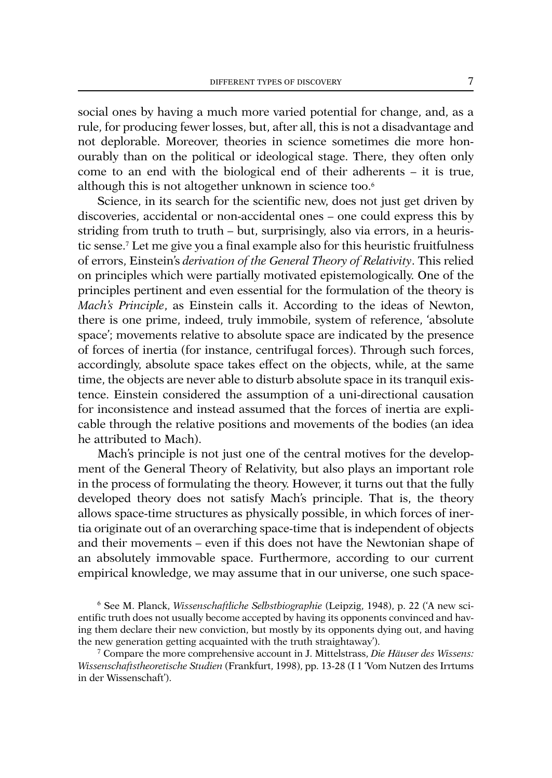social ones by having a much more varied potential for change, and, as a rule, for producing fewer losses, but, after all, this is not a disadvantage and not deplorable. Moreover, theories in science sometimes die more honourably than on the political or ideological stage. There, they often only come to an end with the biological end of their adherents – it is true, although this is not altogether unknown in science too. 6

Science, in its search for the scientific new, does not just get driven by discoveries, accidental or non-accidental ones – one could express this by striding from truth to truth – but, surprisingly, also via errors, in a heuristic sense. <sup>7</sup> Let me give you a final example also for this heuristic fruitfulness of errors, Einstein's *derivation of the General Theory of Relativity*. This relied on principles which were partially motivated epistemologically. One of the principles pertinent and even essential for the formulation of the theory is *Mach's Principle*, as Einstein calls it. According to the ideas of Newton, there is one prime, indeed, truly immobile, system of reference, 'absolute space'; movements relative to absolute space are indicated by the presence of forces of inertia (for instance, centrifugal forces). Through such forces, accordingly, absolute space takes effect on the objects, while, at the same time, the objects are never able to disturb absolute space in its tranquil existence. Einstein considered the assumption of a uni-directional causation for inconsistence and instead assumed that the forces of inertia are explicable through the relative positions and movements of the bodies (an idea he attributed to Mach).

Mach's principle is not just one of the central motives for the development of the General Theory of Relativity, but also plays an important role in the process of formulating the theory. However, it turns out that the fully developed theory does not satisfy Mach's principle. That is, the theory allows space-time structures as physically possible, in which forces of inertia originate out of an overarching space-time that is independent of objects and their movements – even if this does not have the Newtonian shape of an absolutely immovable space. Furthermore, according to our current empirical knowledge, we may assume that in our universe, one such space-

<sup>6</sup> See M. Planck, *Wissenschaftliche Selbstbiographie* (Leipzig, 1948), p. 22 ('A new scientific truth does not usually become accepted by having its opponents convinced and having them declare their new conviction, but mostly by its opponents dying out, and having the new generation getting acquainted with the truth straightaway').

<sup>7</sup> Compare the more comprehensive account in J. Mittelstrass, *Die Häuser des Wissens: Wissenschaftstheoretische Studien* (Frankfurt, 1998), pp. 13-28 (I 1 'Vom Nutzen des Irrtums in der Wissenschaft').